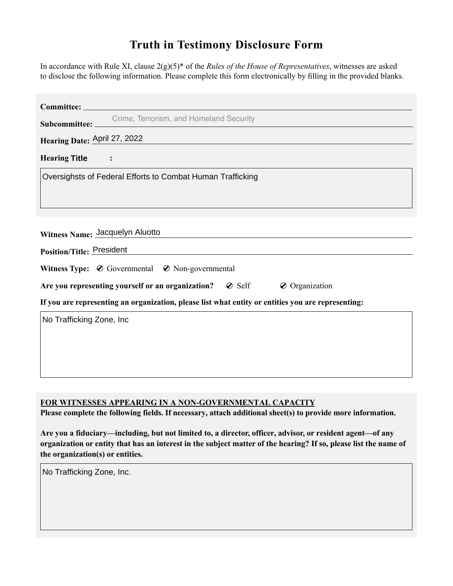## **Truth in Testimony Disclosure Form**

In accordance with Rule XI, clause 2(g)(5)\* of the *Rules of the House of Representatives*, witnesses are asked to disclose the following information. Please complete this form electronically by flling in the provided blanks.

| Committee:                                                                                         |
|----------------------------------------------------------------------------------------------------|
| Crime, Terrorism, and Homeland Security<br>Subcommittee:                                           |
|                                                                                                    |
| Hearing Date: April 27, 2022                                                                       |
| HearingTitle<br>$ \mathbf{\cdot} $ :                                                               |
| Oversighsts of Federal Efforts to Combat Human Trafficking                                         |
| Witness Name: Jacquelyn Aluotto<br><b>Position/Title: President</b>                                |
|                                                                                                    |
| Witness Type: $\oslash$ Governmental $\oslash$ Non-governmental                                    |
| Are you representing yourself or an organization? $\oslash$ Self<br>$\oslash$ Organization         |
| If you are representing an organization, please list what entity or entities you are representing: |
| No Trafficking Zone, Inc                                                                           |

**FOR WITNESSES APPEARING IN A NON-GOVERNMENTAL CAPACITY**

Please complete the following fields. If necessary, attach additional sheet(s) to provide more information.

**Are you a fiduciary—including, but not limited to, a director, officer, advisor, or resident agent—of any organization or entity that has an interest in the subject matter of the hearing? If so, please list the name of the organization(s) or entities.**

No Trafficking Zone, Inc.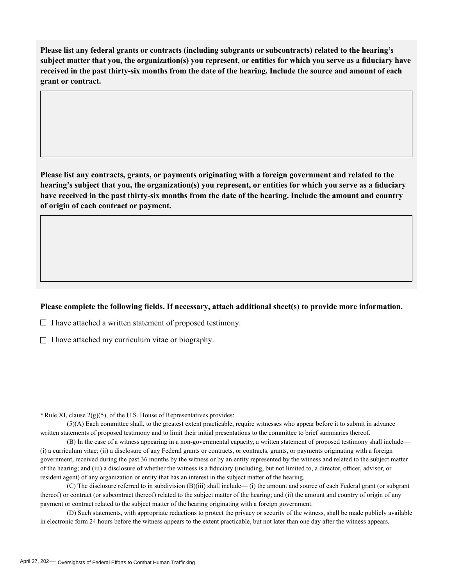**Please list any federal grants or contracts (including subgrants or subcontracts) related to the hearing's subject matter that you, the organization(s) you represent, or entities for which you serve as a fduciary have received in the past thirty-six months from the date of the hearing. Include the source and amount of each grant or contract.** 

**Please list any contracts, grants, or payments originating with a foreign government and related to the hearing's subject that you, the organization(s) you represent, or entities for which you serve as a fduciary have received in the past thirty-six months from the date of the hearing. Include the amount and country of origin of each contract or payment.** 

## **Please complete the following fields. If necessary, attach additional sheet(s) to provide more information.**

 $\Box$  I have attached a written statement of proposed testimony.

 $\Box$  I have attached my curriculum vitae or biography.

**\***Rule XI, clause 2(g)(5), of the U.S. House of Representatives provides:

(5)(A) Each committee shall, to the greatest extent practicable, require witnesses who appear before it to submit in advance written statements of proposed testimony and to limit their initial presentations to the committee to brief summaries thereof.

(B) In the case of a witness appearing in a non-governmental capacity, a written statement of proposed testimony shall include— (i) a curriculum vitae; (ii) a disclosure of any Federal grants or contracts, or contracts, grants, or payments originating with a foreign government, received during the past 36 months by the witness or by an entity represented by the witness and related to the subject matter of the hearing; and (iii) a disclosure of whether the witness is a fiduciary (including, but not limited to, a director, officer, advisor, or resident agent) of any organization or entity that has an interest in the subject matter of the hearing.

(C) The disclosure referred to in subdivision (B)(iii) shall include— (i) the amount and source of each Federal grant (or subgrant thereof) or contract (or subcontract thereof) related to the subject matter of the hearing; and (ii) the amount and country of origin of any payment or contract related to the subject matter of the hearing originating with a foreign government.

(D) Such statements, with appropriate redactions to protect the privacy or security of the witness, shall be made publicly available in electronic form 24 hours before the witness appears to the extent practicable, but not later than one day after the witness appears.